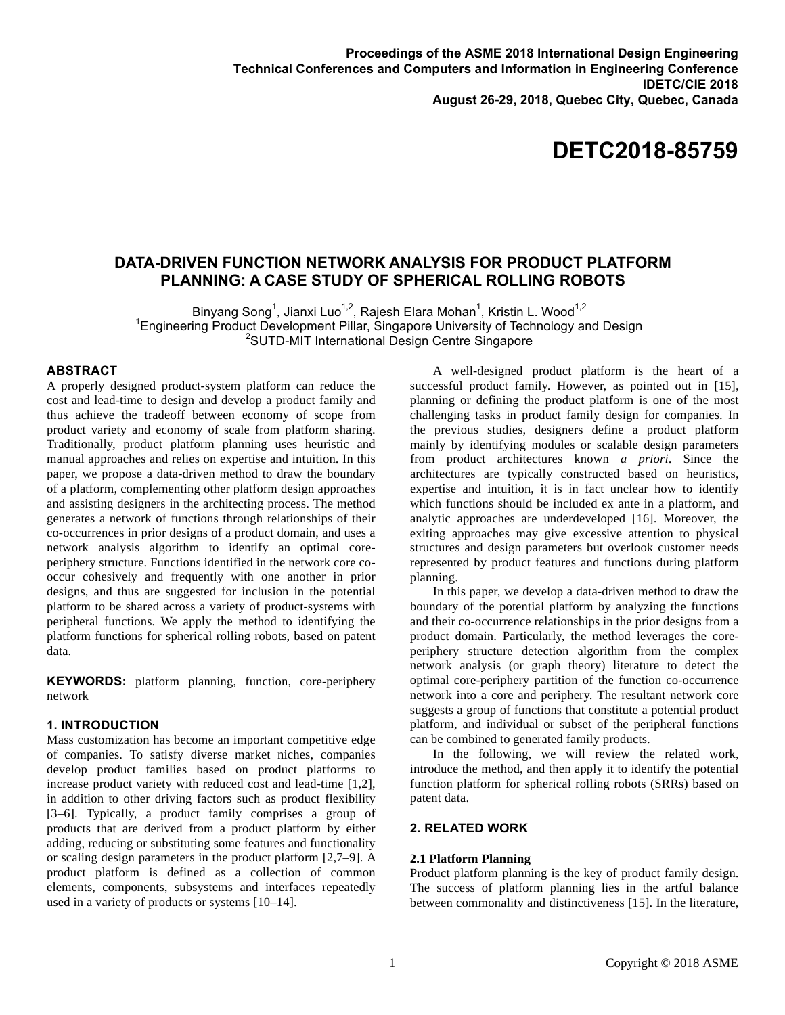# **DATA-DRIVEN FUNCTION NETWORK ANALYSIS FOR PRODUCT PLATFORM PLANNING: A CASE STUDY OF SPHERICAL ROLLING ROBOTS**

Binyang Song<sup>1</sup>, Jianxi Luo<sup>1,2</sup>, Rajesh Elara Mohan<sup>1</sup>, Kristin L. Wood<sup>1,2</sup> <sup>1</sup> Engineering Product Development Pillar, Singapore University of Technology and Design<br><sup>2</sup>CUTD MIT International Design Centre Singapore <sup>2</sup>SUTD-MIT International Design Centre Singapore

# **ABSTRACT**

A properly designed product-system platform can reduce the cost and lead-time to design and develop a product family and thus achieve the tradeoff between economy of scope from product variety and economy of scale from platform sharing. Traditionally, product platform planning uses heuristic and manual approaches and relies on expertise and intuition. In this paper, we propose a data-driven method to draw the boundary of a platform, complementing other platform design approaches and assisting designers in the architecting process. The method generates a network of functions through relationships of their co-occurrences in prior designs of a product domain, and uses a network analysis algorithm to identify an optimal coreperiphery structure. Functions identified in the network core cooccur cohesively and frequently with one another in prior designs, and thus are suggested for inclusion in the potential platform to be shared across a variety of product-systems with peripheral functions. We apply the method to identifying the platform functions for spherical rolling robots, based on patent data.

**KEYWORDS:** platform planning, function, core-periphery network

## **1. INTRODUCTION**

Mass customization has become an important competitive edge of companies. To satisfy diverse market niches, companies develop product families based on product platforms to increase product variety with reduced cost and lead-time [1,2], in addition to other driving factors such as product flexibility [3–6]. Typically, a product family comprises a group of products that are derived from a product platform by either adding, reducing or substituting some features and functionality or scaling design parameters in the product platform [2,7–9]. A product platform is defined as a collection of common elements, components, subsystems and interfaces repeatedly used in a variety of products or systems [10–14].

A well-designed product platform is the heart of a successful product family. However, as pointed out in [15], planning or defining the product platform is one of the most challenging tasks in product family design for companies. In the previous studies, designers define a product platform mainly by identifying modules or scalable design parameters from product architectures known *a priori*. Since the architectures are typically constructed based on heuristics, expertise and intuition, it is in fact unclear how to identify which functions should be included ex ante in a platform, and analytic approaches are underdeveloped [16]. Moreover, the exiting approaches may give excessive attention to physical structures and design parameters but overlook customer needs represented by product features and functions during platform planning.

In this paper, we develop a data-driven method to draw the boundary of the potential platform by analyzing the functions and their co-occurrence relationships in the prior designs from a product domain. Particularly, the method leverages the coreperiphery structure detection algorithm from the complex network analysis (or graph theory) literature to detect the optimal core-periphery partition of the function co-occurrence network into a core and periphery. The resultant network core suggests a group of functions that constitute a potential product platform, and individual or subset of the peripheral functions can be combined to generated family products.

In the following, we will review the related work, introduce the method, and then apply it to identify the potential function platform for spherical rolling robots (SRRs) based on patent data.

# **2. RELATED WORK**

### **2.1 Platform Planning**

Product platform planning is the key of product family design. The success of platform planning lies in the artful balance between commonality and distinctiveness [15]. In the literature,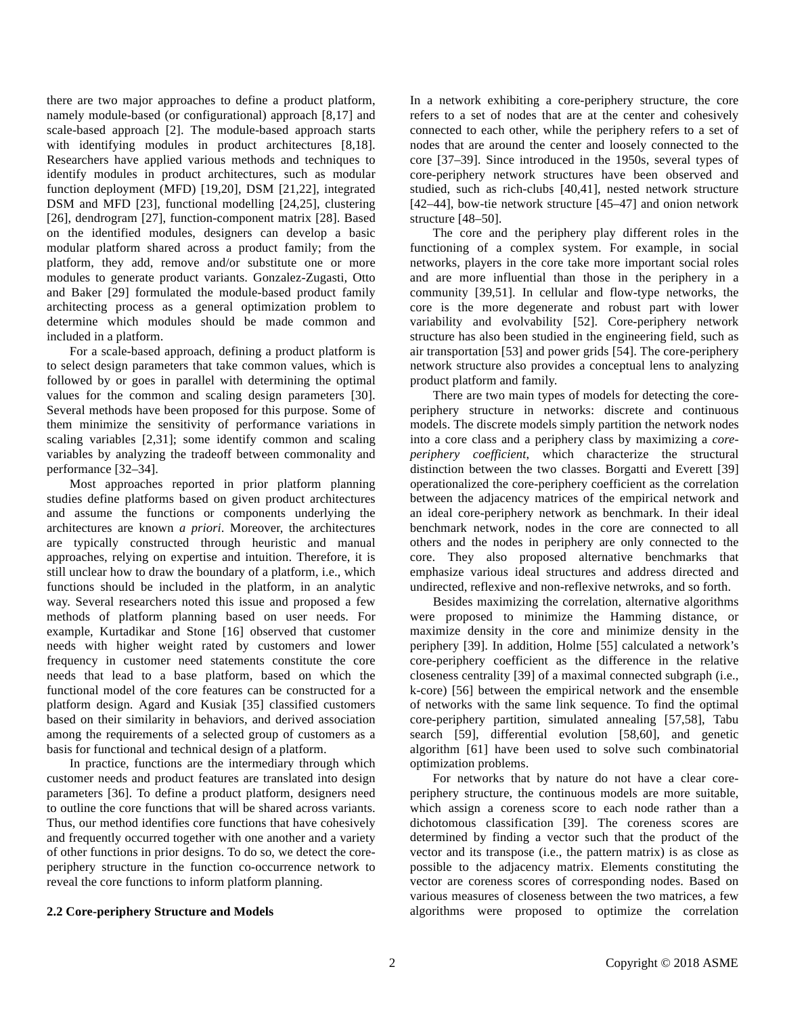there are two major approaches to define a product platform, namely module-based (or configurational) approach [8,17] and scale-based approach [2]. The module-based approach starts with identifying modules in product architectures [8,18]. Researchers have applied various methods and techniques to identify modules in product architectures, such as modular function deployment (MFD) [19,20], DSM [21,22], integrated DSM and MFD [23], functional modelling [24,25], clustering [26], dendrogram [27], function-component matrix [28]. Based on the identified modules, designers can develop a basic modular platform shared across a product family; from the platform, they add, remove and/or substitute one or more modules to generate product variants. Gonzalez-Zugasti, Otto and Baker [29] formulated the module-based product family architecting process as a general optimization problem to determine which modules should be made common and included in a platform.

For a scale-based approach, defining a product platform is to select design parameters that take common values, which is followed by or goes in parallel with determining the optimal values for the common and scaling design parameters [30]. Several methods have been proposed for this purpose. Some of them minimize the sensitivity of performance variations in scaling variables [2,31]; some identify common and scaling variables by analyzing the tradeoff between commonality and performance [32–34].

Most approaches reported in prior platform planning studies define platforms based on given product architectures and assume the functions or components underlying the architectures are known *a priori*. Moreover, the architectures are typically constructed through heuristic and manual approaches, relying on expertise and intuition. Therefore, it is still unclear how to draw the boundary of a platform, i.e., which functions should be included in the platform, in an analytic way. Several researchers noted this issue and proposed a few methods of platform planning based on user needs. For example, Kurtadikar and Stone [16] observed that customer needs with higher weight rated by customers and lower frequency in customer need statements constitute the core needs that lead to a base platform, based on which the functional model of the core features can be constructed for a platform design. Agard and Kusiak [35] classified customers based on their similarity in behaviors, and derived association among the requirements of a selected group of customers as a basis for functional and technical design of a platform.

In practice, functions are the intermediary through which customer needs and product features are translated into design parameters [36]. To define a product platform, designers need to outline the core functions that will be shared across variants. Thus, our method identifies core functions that have cohesively and frequently occurred together with one another and a variety of other functions in prior designs. To do so, we detect the coreperiphery structure in the function co-occurrence network to reveal the core functions to inform platform planning.

#### **2.2 Core-periphery Structure and Models**

In a network exhibiting a core-periphery structure, the core refers to a set of nodes that are at the center and cohesively connected to each other, while the periphery refers to a set of nodes that are around the center and loosely connected to the core [37–39]. Since introduced in the 1950s, several types of core-periphery network structures have been observed and studied, such as rich-clubs [40,41], nested network structure [42–44], bow-tie network structure [45–47] and onion network structure [48–50].

The core and the periphery play different roles in the functioning of a complex system. For example, in social networks, players in the core take more important social roles and are more influential than those in the periphery in a community [39,51]. In cellular and flow-type networks, the core is the more degenerate and robust part with lower variability and evolvability [52]. Core-periphery network structure has also been studied in the engineering field, such as air transportation [53] and power grids [54]. The core-periphery network structure also provides a conceptual lens to analyzing product platform and family.

There are two main types of models for detecting the coreperiphery structure in networks: discrete and continuous models. The discrete models simply partition the network nodes into a core class and a periphery class by maximizing a *coreperiphery coefficient*, which characterize the structural distinction between the two classes. Borgatti and Everett [39] operationalized the core-periphery coefficient as the correlation between the adjacency matrices of the empirical network and an ideal core-periphery network as benchmark. In their ideal benchmark network, nodes in the core are connected to all others and the nodes in periphery are only connected to the core. They also proposed alternative benchmarks that emphasize various ideal structures and address directed and undirected, reflexive and non-reflexive netwroks, and so forth.

Besides maximizing the correlation, alternative algorithms were proposed to minimize the Hamming distance, or maximize density in the core and minimize density in the periphery [39]. In addition, Holme [55] calculated a network's core-periphery coefficient as the difference in the relative closeness centrality [39] of a maximal connected subgraph (i.e., k-core) [56] between the empirical network and the ensemble of networks with the same link sequence. To find the optimal core-periphery partition, simulated annealing [57,58], Tabu search [59], differential evolution [58,60], and genetic algorithm [61] have been used to solve such combinatorial optimization problems.

For networks that by nature do not have a clear coreperiphery structure, the continuous models are more suitable, which assign a coreness score to each node rather than a dichotomous classification [39]. The coreness scores are determined by finding a vector such that the product of the vector and its transpose (i.e., the pattern matrix) is as close as possible to the adjacency matrix. Elements constituting the vector are coreness scores of corresponding nodes. Based on various measures of closeness between the two matrices, a few algorithms were proposed to optimize the correlation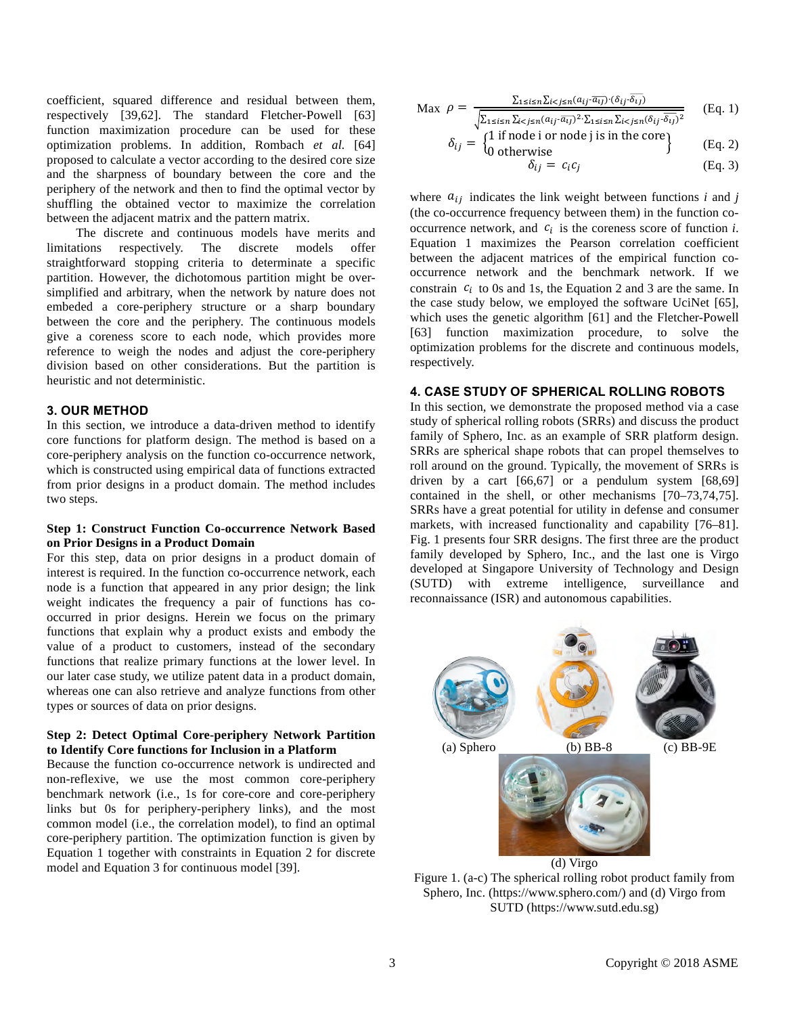coefficient, squared difference and residual between them, respectively [39,62]. The standard Fletcher-Powell [63] function maximization procedure can be used for these optimization problems. In addition, Rombach *et al.* [64] proposed to calculate a vector according to the desired core size and the sharpness of boundary between the core and the periphery of the network and then to find the optimal vector by shuffling the obtained vector to maximize the correlation between the adjacent matrix and the pattern matrix.

 The discrete and continuous models have merits and limitations respectively. The discrete models offer straightforward stopping criteria to determinate a specific partition. However, the dichotomous partition might be oversimplified and arbitrary, when the network by nature does not embeded a core-periphery structure or a sharp boundary between the core and the periphery. The continuous models give a coreness score to each node, which provides more reference to weigh the nodes and adjust the core-periphery division based on other considerations. But the partition is heuristic and not deterministic.

#### **3. OUR METHOD**

In this section, we introduce a data-driven method to identify core functions for platform design. The method is based on a core-periphery analysis on the function co-occurrence network, which is constructed using empirical data of functions extracted from prior designs in a product domain. The method includes two steps.

# **Step 1: Construct Function Co-occurrence Network Based on Prior Designs in a Product Domain**

For this step, data on prior designs in a product domain of interest is required. In the function co-occurrence network, each node is a function that appeared in any prior design; the link weight indicates the frequency a pair of functions has cooccurred in prior designs. Herein we focus on the primary functions that explain why a product exists and embody the value of a product to customers, instead of the secondary functions that realize primary functions at the lower level. In our later case study, we utilize patent data in a product domain, whereas one can also retrieve and analyze functions from other types or sources of data on prior designs.

## **Step 2: Detect Optimal Core-periphery Network Partition to Identify Core functions for Inclusion in a Platform**

Because the function co-occurrence network is undirected and non-reflexive, we use the most common core-periphery benchmark network (i.e., 1s for core-core and core-periphery links but 0s for periphery-periphery links), and the most common model (i.e., the correlation model), to find an optimal core-periphery partition. The optimization function is given by Equation 1 together with constraints in Equation 2 for discrete model and Equation 3 for continuous model [39].

$$
\text{Max } \rho = \frac{\sum_{1 \le i \le n} \sum_{i < j \le n} (a_{ij} \cdot \overline{a_{ij}}) \cdot (\delta_{ij} \cdot \overline{\delta_{ij}})}{\sqrt{\sum_{1 \le i \le n} \sum_{i < j \le n} (a_{ij} \cdot \overline{a_{ij}})^2 \cdot \sum_{1 \le i \le n} \sum_{i < j \le n} (\delta_{ij} \cdot \overline{\delta_{ij}})^2}}
$$
\n(Eq. 1)

\n(1 if node i or node i is in the core)

$$
\delta_{ij} = \begin{Bmatrix} 1 \text{ if node i or node j is in the core} \\ 0 \text{ otherwise} \end{Bmatrix}
$$
 (Eq. 2)

$$
\delta_{ij} = c_i c_j \tag{Eq. 3}
$$

where  $a_{ij}$  indicates the link weight between functions *i* and *j* (the co-occurrence frequency between them) in the function cooccurrence network, and  $c_i$  is the coreness score of function *i*. Equation 1 maximizes the Pearson correlation coefficient between the adjacent matrices of the empirical function cooccurrence network and the benchmark network. If we constrain  $c_i$  to 0s and 1s, the Equation 2 and 3 are the same. In the case study below, we employed the software UciNet [65], which uses the genetic algorithm [61] and the Fletcher-Powell [63] function maximization procedure, to solve the optimization problems for the discrete and continuous models, respectively.

# **4. CASE STUDY OF SPHERICAL ROLLING ROBOTS**

In this section, we demonstrate the proposed method via a case study of spherical rolling robots (SRRs) and discuss the product family of Sphero, Inc. as an example of SRR platform design. SRRs are spherical shape robots that can propel themselves to roll around on the ground. Typically, the movement of SRRs is driven by a cart  $[66,67]$  or a pendulum system  $[68,69]$ contained in the shell, or other mechanisms [70–73,74,75]. SRRs have a great potential for utility in defense and consumer markets, with increased functionality and capability [76–81]. Fig. 1 presents four SRR designs. The first three are the product family developed by Sphero, Inc., and the last one is Virgo developed at Singapore University of Technology and Design (SUTD) with extreme intelligence, surveillance and reconnaissance (ISR) and autonomous capabilities.



Figure 1. (a-c) The spherical rolling robot product family from Sphero, Inc. (https://www.sphero.com/) and (d) Virgo from SUTD (https://www.sutd.edu.sg)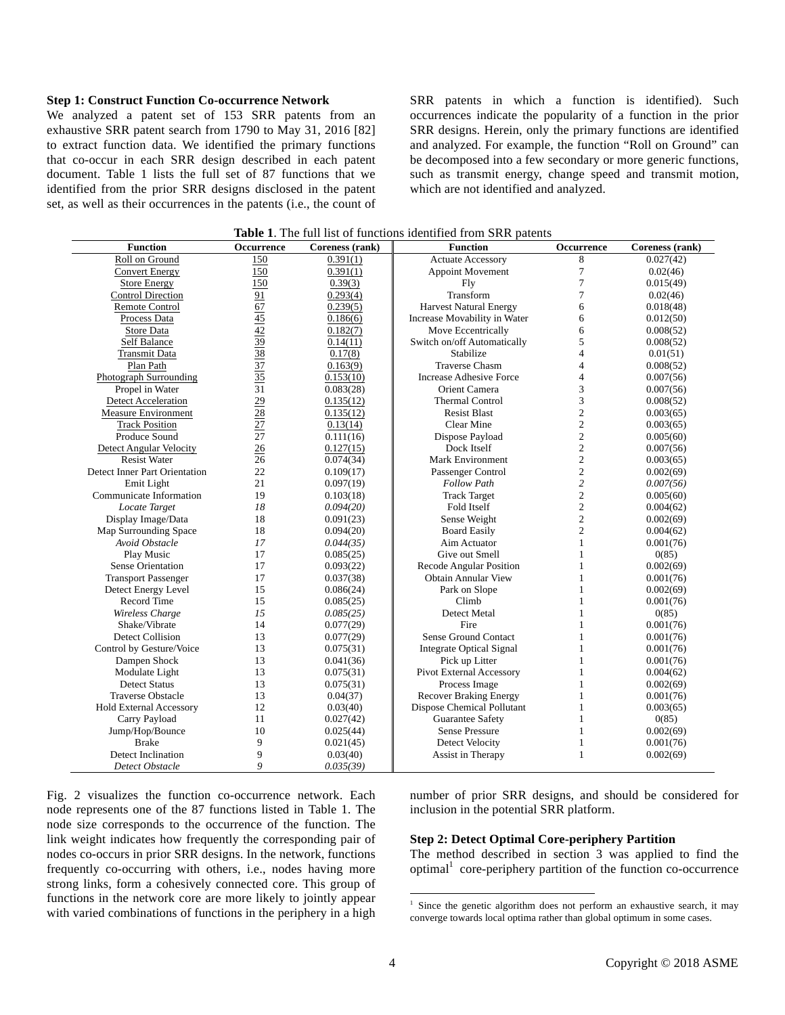#### **Step 1: Construct Function Co-occurrence Network**

We analyzed a patent set of 153 SRR patents from an exhaustive SRR patent search from 1790 to May 31, 2016 [82] to extract function data. We identified the primary functions that co-occur in each SRR design described in each patent document. Table 1 lists the full set of 87 functions that we identified from the prior SRR designs disclosed in the patent set, as well as their occurrences in the patents (i.e., the count of SRR patents in which a function is identified). Such occurrences indicate the popularity of a function in the prior SRR designs. Herein, only the primary functions are identified and analyzed. For example, the function "Roll on Ground" can be decomposed into a few secondary or more generic functions, such as transmit energy, change speed and transmit motion, which are not identified and analyzed.

| <b>Function</b>                | Occurrence                                      | Coreness (rank) | <b>Function</b>                 | <b>Occurrence</b> | Coreness (rank) |
|--------------------------------|-------------------------------------------------|-----------------|---------------------------------|-------------------|-----------------|
| Roll on Ground                 | 150                                             | 0.391(1)        | <b>Actuate Accessory</b>        | 8                 | 0.027(42)       |
| <b>Convert Energy</b>          | 150                                             | 0.391(1)        | <b>Appoint Movement</b>         | 7                 | 0.02(46)        |
| <b>Store Energy</b>            | 150                                             | 0.39(3)         | Fly                             | 7                 | 0.015(49)       |
| <b>Control Direction</b>       | 91                                              | 0.293(4)        | Transform                       | 7                 | 0.02(46)        |
| Remote Control                 | 67                                              | 0.239(5)        | <b>Harvest Natural Energy</b>   | 6                 | 0.018(48)       |
| Process Data                   |                                                 | 0.186(6)        | Increase Movability in Water    | 6                 | 0.012(50)       |
| Store Data                     | $\frac{45}{42}$ $\frac{39}{38}$ $\frac{37}{35}$ | 0.182(7)        | Move Eccentrically              | 6                 | 0.008(52)       |
| Self Balance                   |                                                 | 0.14(11)        | Switch on/off Automatically     | 5                 | 0.008(52)       |
| <b>Transmit Data</b>           |                                                 | 0.17(8)         | Stabilize                       | $\overline{4}$    | 0.01(51)        |
| Plan Path                      |                                                 | 0.163(9)        | <b>Traverse Chasm</b>           | $\overline{4}$    | 0.008(52)       |
| Photograph Surrounding         |                                                 | 0.153(10)       | <b>Increase Adhesive Force</b>  | $\overline{4}$    | 0.007(56)       |
| Propel in Water                | $\overline{31}$                                 | 0.083(28)       | Orient Camera                   | 3                 | 0.007(56)       |
| <b>Detect Acceleration</b>     | $\frac{29}{28}$                                 | 0.135(12)       | <b>Thermal Control</b>          | 3                 | 0.008(52)       |
| <b>Measure Environment</b>     |                                                 | 0.135(12)       | <b>Resist Blast</b>             | $\overline{c}$    | 0.003(65)       |
| <b>Track Position</b>          | $\overline{27}$                                 | 0.13(14)        | Clear Mine                      | $\overline{c}$    | 0.003(65)       |
| Produce Sound                  | 27                                              | 0.111(16)       | Dispose Payload                 | $\overline{c}$    | 0.005(60)       |
| <b>Detect Angular Velocity</b> | 26                                              | 0.127(15)       | Dock Itself                     | $\overline{c}$    | 0.007(56)       |
| <b>Resist Water</b>            | 26                                              | 0.074(34)       | <b>Mark Environment</b>         | $\overline{c}$    | 0.003(65)       |
| Detect Inner Part Orientation  | 22                                              | 0.109(17)       | Passenger Control               | $\overline{c}$    | 0.002(69)       |
| Emit Light                     | 21                                              | 0.097(19)       | <b>Follow Path</b>              | $\overline{c}$    | 0.007(56)       |
| Communicate Information        | 19                                              | 0.103(18)       | <b>Track Target</b>             | $\overline{c}$    | 0.005(60)       |
| Locate Target                  | 18                                              | 0.094(20)       | Fold Itself                     | $\overline{c}$    | 0.004(62)       |
| Display Image/Data             | 18                                              | 0.091(23)       | Sense Weight                    | $\overline{c}$    | 0.002(69)       |
| Map Surrounding Space          | 18                                              | 0.094(20)       | <b>Board Easily</b>             | $\overline{c}$    | 0.004(62)       |
| Avoid Obstacle                 | 17                                              | 0.044(35)       | Aim Actuator                    | $\mathbf{1}$      | 0.001(76)       |
| Play Music                     | 17                                              | 0.085(25)       | Give out Smell                  | $\mathbf{1}$      | 0(85)           |
| <b>Sense Orientation</b>       | 17                                              | 0.093(22)       | Recode Angular Position         | $\mathbf{1}$      | 0.002(69)       |
| <b>Transport Passenger</b>     | 17                                              | 0.037(38)       | <b>Obtain Annular View</b>      | 1                 | 0.001(76)       |
| Detect Energy Level            | 15                                              | 0.086(24)       | Park on Slope                   | $\mathbf{1}$      | 0.002(69)       |
| Record Time                    | 15                                              | 0.085(25)       | Climb                           | $\mathbf{1}$      | 0.001(76)       |
| Wireless Charge                | 15                                              | 0.085(25)       | Detect Metal                    | 1                 | 0(85)           |
| Shake/Vibrate                  | 14                                              | 0.077(29)       | Fire                            | $\mathbf{1}$      | 0.001(76)       |
| <b>Detect Collision</b>        | 13                                              | 0.077(29)       | Sense Ground Contact            | $\mathbf{1}$      | 0.001(76)       |
| Control by Gesture/Voice       | 13                                              | 0.075(31)       | <b>Integrate Optical Signal</b> | $\mathbf{1}$      | 0.001(76)       |
| Dampen Shock                   | 13                                              | 0.041(36)       | Pick up Litter                  | $\mathbf{1}$      | 0.001(76)       |
| Modulate Light                 | 13                                              | 0.075(31)       | Pivot External Accessory        | $\mathbf{1}$      | 0.004(62)       |
| <b>Detect Status</b>           | 13                                              | 0.075(31)       | Process Image                   | 1                 | 0.002(69)       |
| <b>Traverse Obstacle</b>       | 13                                              | 0.04(37)        | <b>Recover Braking Energy</b>   | $\mathbf{1}$      | 0.001(76)       |
| Hold External Accessory        | 12                                              | 0.03(40)        | Dispose Chemical Pollutant      | $\mathbf{1}$      | 0.003(65)       |
| Carry Payload                  | 11                                              | 0.027(42)       | <b>Guarantee Safety</b>         | $\mathbf{1}$      | 0(85)           |
| Jump/Hop/Bounce                | 10                                              | 0.025(44)       | <b>Sense Pressure</b>           | $\mathbf{1}$      | 0.002(69)       |
| <b>Brake</b>                   | 9                                               | 0.021(45)       | <b>Detect Velocity</b>          | $\mathbf{1}$      | 0.001(76)       |
| <b>Detect Inclination</b>      | 9                                               | 0.03(40)        | Assist in Therapy               | $\mathbf{1}$      | 0.002(69)       |
| Detect Obstacle                | $\overline{Q}$                                  | 0.035(39)       |                                 |                   |                 |

**Table 1**. The full list of functions identified from SRR patents

Fig. 2 visualizes the function co-occurrence network. Each node represents one of the 87 functions listed in Table 1. The node size corresponds to the occurrence of the function. The link weight indicates how frequently the corresponding pair of nodes co-occurs in prior SRR designs. In the network, functions frequently co-occurring with others, i.e., nodes having more strong links, form a cohesively connected core. This group of functions in the network core are more likely to jointly appear with varied combinations of functions in the periphery in a high

number of prior SRR designs, and should be considered for inclusion in the potential SRR platform.

## **Step 2: Detect Optimal Core-periphery Partition**

The method described in section 3 was applied to find the  $optimal<sup>1</sup>$  core-periphery partition of the function co-occurrence

 1 Since the genetic algorithm does not perform an exhaustive search, it may converge towards local optima rather than global optimum in some cases.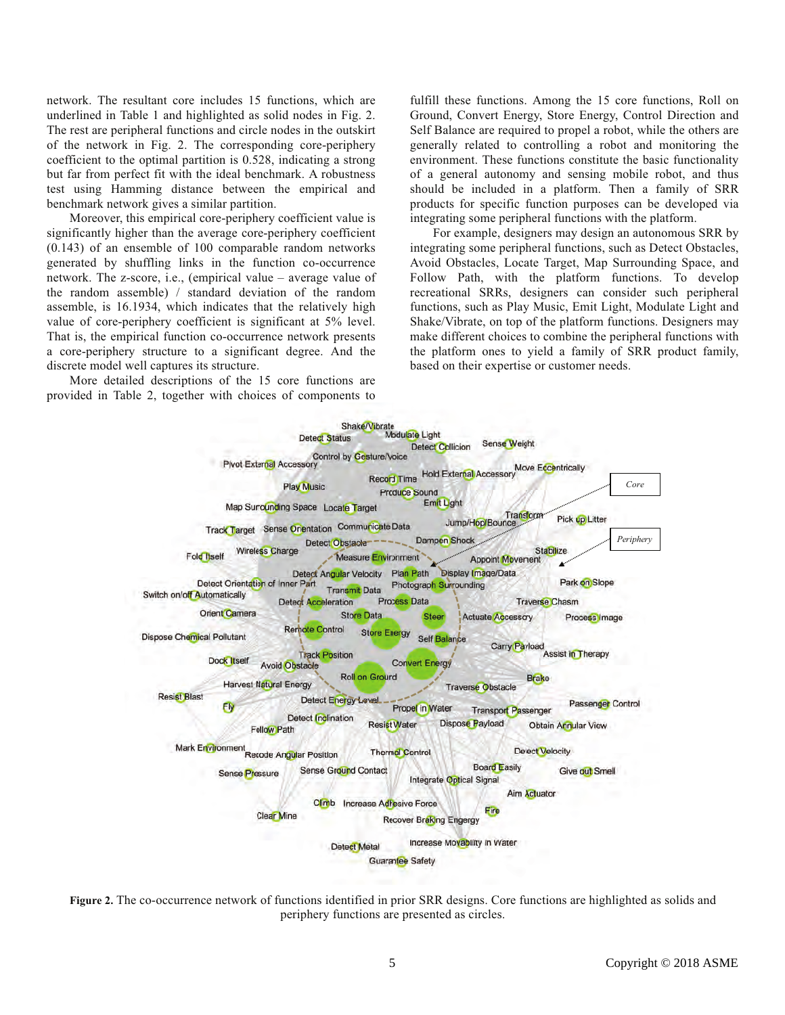network. The resultant core includes 15 functions, which are underlined in Table 1 and highlighted as solid nodes in Fig. 2. The rest are peripheral functions and circle nodes in the outskirt of the network in Fig. 2. The corresponding core-periphery coefficient to the optimal partition is 0.528, indicating a strong but far from perfect fit with the ideal benchmark. A robustness test using Hamming distance between the empirical and benchmark network gives a similar partition.

Moreover, this empirical core-periphery coefficient value is significantly higher than the average core-periphery coefficient (0.143) of an ensemble of 100 comparable random networks generated by shuffling links in the function co-occurrence network. The z-score, i.e., (empirical value – average value of the random assemble) / standard deviation of the random assemble, is 16.1934, which indicates that the relatively high value of core-periphery coefficient is significant at 5% level. That is, the empirical function co-occurrence network presents a core-periphery structure to a significant degree. And the discrete model well captures its structure.

More detailed descriptions of the 15 core functions are provided in Table 2, together with choices of components to

fulfill these functions. Among the 15 core functions, Roll on Ground, Convert Energy, Store Energy, Control Direction and Self Balance are required to propel a robot, while the others are generally related to controlling a robot and monitoring the environment. These functions constitute the basic functionality of a general autonomy and sensing mobile robot, and thus should be included in a platform. Then a family of SRR products for specific function purposes can be developed via integrating some peripheral functions with the platform.

For example, designers may design an autonomous SRR by integrating some peripheral functions, such as Detect Obstacles, Avoid Obstacles, Locate Target, Map Surrounding Space, and Follow Path, with the platform functions. To develop recreational SRRs, designers can consider such peripheral functions, such as Play Music, Emit Light, Modulate Light and Shake/Vibrate, on top of the platform functions. Designers may make different choices to combine the peripheral functions with the platform ones to yield a family of SRR product family, based on their expertise or customer needs.



**Figure 2.** The co-occurrence network of functions identified in prior SRR designs. Core functions are highlighted as solids and periphery functions are presented as circles.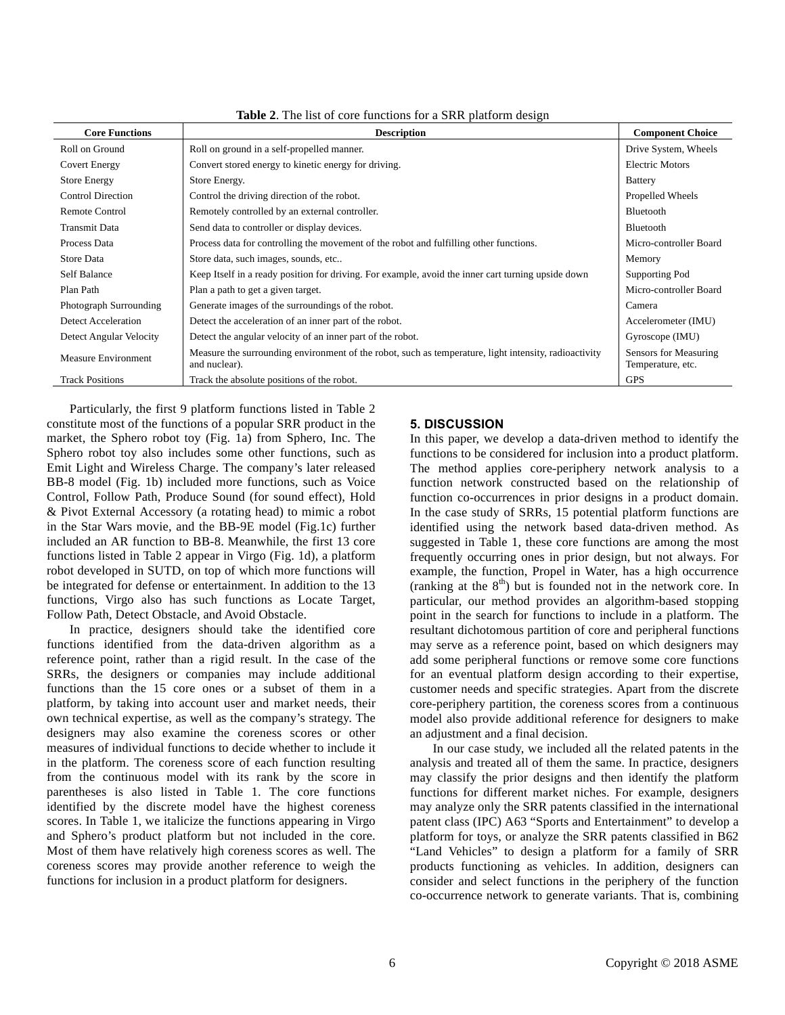| <b>Core Functions</b>      | <b>Description</b>                                                                                                     | <b>Component Choice</b>                    |
|----------------------------|------------------------------------------------------------------------------------------------------------------------|--------------------------------------------|
| Roll on Ground             | Roll on ground in a self-propelled manner.                                                                             | Drive System, Wheels                       |
| <b>Covert Energy</b>       | Convert stored energy to kinetic energy for driving.                                                                   | <b>Electric Motors</b>                     |
| <b>Store Energy</b>        | Store Energy.                                                                                                          | <b>Battery</b>                             |
| <b>Control Direction</b>   | Control the driving direction of the robot.                                                                            | Propelled Wheels                           |
| <b>Remote Control</b>      | Remotely controlled by an external controller.                                                                         | Bluetooth                                  |
| <b>Transmit Data</b>       | Send data to controller or display devices.                                                                            | Bluetooth                                  |
| Process Data               | Process data for controlling the movement of the robot and fulfilling other functions.                                 | Micro-controller Board                     |
| Store Data                 | Store data, such images, sounds, etc                                                                                   | Memory                                     |
| <b>Self Balance</b>        | Keep Itself in a ready position for driving. For example, avoid the inner cart turning upside down                     | Supporting Pod                             |
| Plan Path                  | Plan a path to get a given target.                                                                                     | Micro-controller Board                     |
| Photograph Surrounding     | Generate images of the surroundings of the robot.                                                                      | Camera                                     |
| Detect Acceleration        | Detect the acceleration of an inner part of the robot.                                                                 | Accelerometer (IMU)                        |
| Detect Angular Velocity    | Detect the angular velocity of an inner part of the robot.                                                             | Gyroscope (IMU)                            |
| <b>Measure Environment</b> | Measure the surrounding environment of the robot, such as temperature, light intensity, radioactivity<br>and nuclear). | Sensors for Measuring<br>Temperature, etc. |
| <b>Track Positions</b>     | Track the absolute positions of the robot.                                                                             | <b>GPS</b>                                 |

**Table 2**. The list of core functions for a SRR platform design

Particularly, the first 9 platform functions listed in Table 2 constitute most of the functions of a popular SRR product in the market, the Sphero robot toy (Fig. 1a) from Sphero, Inc. The Sphero robot toy also includes some other functions, such as Emit Light and Wireless Charge. The company's later released BB-8 model (Fig. 1b) included more functions, such as Voice Control, Follow Path, Produce Sound (for sound effect), Hold & Pivot External Accessory (a rotating head) to mimic a robot in the Star Wars movie, and the BB-9E model (Fig.1c) further included an AR function to BB-8. Meanwhile, the first 13 core functions listed in Table 2 appear in Virgo (Fig. 1d), a platform robot developed in SUTD, on top of which more functions will be integrated for defense or entertainment. In addition to the 13 functions, Virgo also has such functions as Locate Target, Follow Path, Detect Obstacle, and Avoid Obstacle.

In practice, designers should take the identified core functions identified from the data-driven algorithm as a reference point, rather than a rigid result. In the case of the SRRs, the designers or companies may include additional functions than the 15 core ones or a subset of them in a platform, by taking into account user and market needs, their own technical expertise, as well as the company's strategy. The designers may also examine the coreness scores or other measures of individual functions to decide whether to include it in the platform. The coreness score of each function resulting from the continuous model with its rank by the score in parentheses is also listed in Table 1. The core functions identified by the discrete model have the highest coreness scores. In Table 1, we italicize the functions appearing in Virgo and Sphero's product platform but not included in the core. Most of them have relatively high coreness scores as well. The coreness scores may provide another reference to weigh the functions for inclusion in a product platform for designers.

# **5. DISCUSSION**

In this paper, we develop a data-driven method to identify the functions to be considered for inclusion into a product platform. The method applies core-periphery network analysis to a function network constructed based on the relationship of function co-occurrences in prior designs in a product domain. In the case study of SRRs, 15 potential platform functions are identified using the network based data-driven method. As suggested in Table 1, these core functions are among the most frequently occurring ones in prior design, but not always. For example, the function, Propel in Water, has a high occurrence (ranking at the  $8<sup>th</sup>$ ) but is founded not in the network core. In particular, our method provides an algorithm-based stopping point in the search for functions to include in a platform. The resultant dichotomous partition of core and peripheral functions may serve as a reference point, based on which designers may add some peripheral functions or remove some core functions for an eventual platform design according to their expertise, customer needs and specific strategies. Apart from the discrete core-periphery partition, the coreness scores from a continuous model also provide additional reference for designers to make an adjustment and a final decision.

In our case study, we included all the related patents in the analysis and treated all of them the same. In practice, designers may classify the prior designs and then identify the platform functions for different market niches. For example, designers may analyze only the SRR patents classified in the international patent class (IPC) A63 "Sports and Entertainment" to develop a platform for toys, or analyze the SRR patents classified in B62 "Land Vehicles" to design a platform for a family of SRR products functioning as vehicles. In addition, designers can consider and select functions in the periphery of the function co-occurrence network to generate variants. That is, combining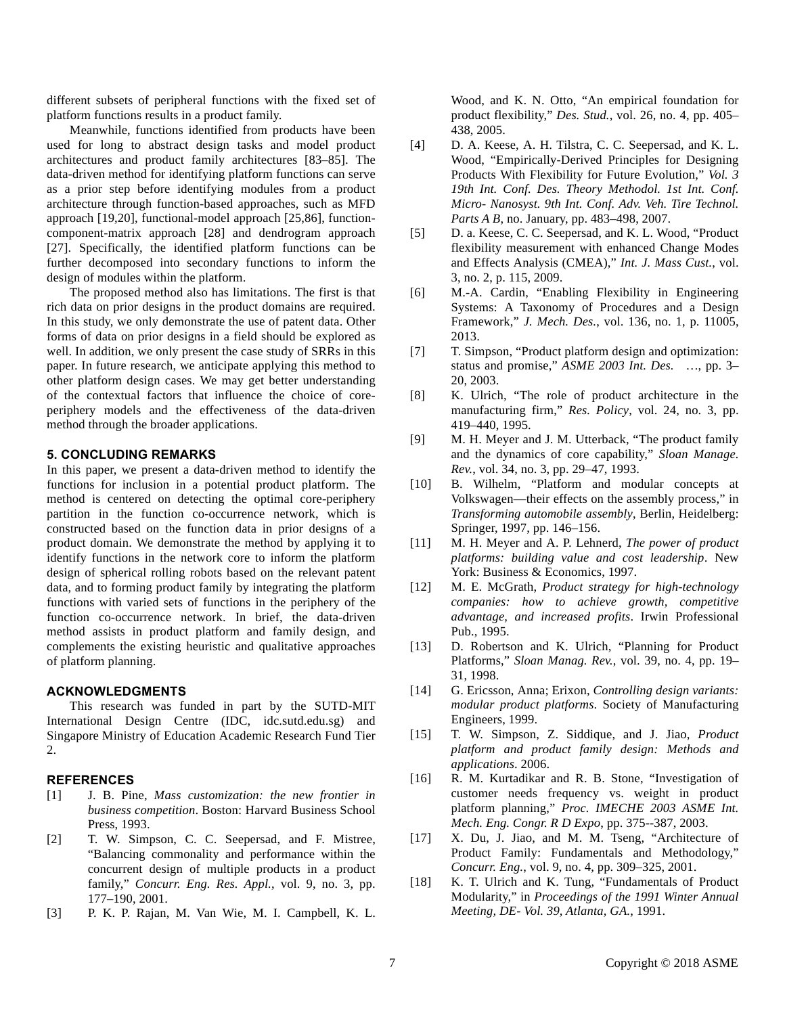different subsets of peripheral functions with the fixed set of platform functions results in a product family.

Meanwhile, functions identified from products have been used for long to abstract design tasks and model product architectures and product family architectures [83–85]. The data-driven method for identifying platform functions can serve as a prior step before identifying modules from a product architecture through function-based approaches, such as MFD approach [19,20], functional-model approach [25,86], functioncomponent-matrix approach [28] and dendrogram approach [27]. Specifically, the identified platform functions can be further decomposed into secondary functions to inform the design of modules within the platform.

The proposed method also has limitations. The first is that rich data on prior designs in the product domains are required. In this study, we only demonstrate the use of patent data. Other forms of data on prior designs in a field should be explored as well. In addition, we only present the case study of SRRs in this paper. In future research, we anticipate applying this method to other platform design cases. We may get better understanding of the contextual factors that influence the choice of coreperiphery models and the effectiveness of the data-driven method through the broader applications.

## **5. CONCLUDING REMARKS**

In this paper, we present a data-driven method to identify the functions for inclusion in a potential product platform. The method is centered on detecting the optimal core-periphery partition in the function co-occurrence network, which is constructed based on the function data in prior designs of a product domain. We demonstrate the method by applying it to identify functions in the network core to inform the platform design of spherical rolling robots based on the relevant patent data, and to forming product family by integrating the platform functions with varied sets of functions in the periphery of the function co-occurrence network. In brief, the data-driven method assists in product platform and family design, and complements the existing heuristic and qualitative approaches of platform planning.

# **ACKNOWLEDGMENTS**

This research was funded in part by the SUTD-MIT International Design Centre (IDC, idc.sutd.edu.sg) and Singapore Ministry of Education Academic Research Fund Tier 2.

#### **REFERENCES**

- [1] J. B. Pine, *Mass customization: the new frontier in business competition*. Boston: Harvard Business School Press, 1993.
- [2] T. W. Simpson, C. C. Seepersad, and F. Mistree, "Balancing commonality and performance within the concurrent design of multiple products in a product family," *Concurr. Eng. Res. Appl.*, vol. 9, no. 3, pp. 177–190, 2001.
- [3] P. K. P. Rajan, M. Van Wie, M. I. Campbell, K. L.

Wood, and K. N. Otto, "An empirical foundation for product flexibility," *Des. Stud.*, vol. 26, no. 4, pp. 405– 438, 2005.

- [4] D. A. Keese, A. H. Tilstra, C. C. Seepersad, and K. L. Wood, "Empirically-Derived Principles for Designing Products With Flexibility for Future Evolution," *Vol. 3 19th Int. Conf. Des. Theory Methodol. 1st Int. Conf. Micro- Nanosyst. 9th Int. Conf. Adv. Veh. Tire Technol. Parts A B*, no. January, pp. 483–498, 2007.
- [5] D. a. Keese, C. C. Seepersad, and K. L. Wood, "Product flexibility measurement with enhanced Change Modes and Effects Analysis (CMEA)," *Int. J. Mass Cust.*, vol. 3, no. 2, p. 115, 2009.
- [6] M.-A. Cardin, "Enabling Flexibility in Engineering Systems: A Taxonomy of Procedures and a Design Framework," *J. Mech. Des.*, vol. 136, no. 1, p. 11005, 2013.
- [7] T. Simpson, "Product platform design and optimization: status and promise," *ASME 2003 Int. Des. …*, pp. 3– 20, 2003.
- [8] K. Ulrich, "The role of product architecture in the manufacturing firm," *Res. Policy*, vol. 24, no. 3, pp. 419–440, 1995.
- [9] M. H. Meyer and J. M. Utterback, "The product family and the dynamics of core capability," *Sloan Manage. Rev.*, vol. 34, no. 3, pp. 29–47, 1993.
- [10] B. Wilhelm, "Platform and modular concepts at Volkswagen—their effects on the assembly process," in *Transforming automobile assembly*, Berlin, Heidelberg: Springer, 1997, pp. 146–156.
- [11] M. H. Meyer and A. P. Lehnerd, *The power of product platforms: building value and cost leadership*. New York: Business & Economics, 1997.
- [12] M. E. McGrath, *Product strategy for high-technology companies: how to achieve growth, competitive advantage, and increased profits*. Irwin Professional Pub., 1995.
- [13] D. Robertson and K. Ulrich, "Planning for Product Platforms," *Sloan Manag. Rev.*, vol. 39, no. 4, pp. 19– 31, 1998.
- [14] G. Ericsson, Anna; Erixon, *Controlling design variants: modular product platforms*. Society of Manufacturing Engineers, 1999.
- [15] T. W. Simpson, Z. Siddique, and J. Jiao, *Product platform and product family design: Methods and applications*. 2006.
- [16] R. M. Kurtadikar and R. B. Stone, "Investigation of customer needs frequency vs. weight in product platform planning," *Proc. IMECHE 2003 ASME Int. Mech. Eng. Congr. R D Expo*, pp. 375--387, 2003.
- [17] X. Du, J. Jiao, and M. M. Tseng, "Architecture of Product Family: Fundamentals and Methodology," *Concurr. Eng.*, vol. 9, no. 4, pp. 309–325, 2001.
- [18] K. T. Ulrich and K. Tung, "Fundamentals of Product Modularity," in *Proceedings of the 1991 Winter Annual Meeting, DE- Vol. 39, Atlanta, GA.*, 1991.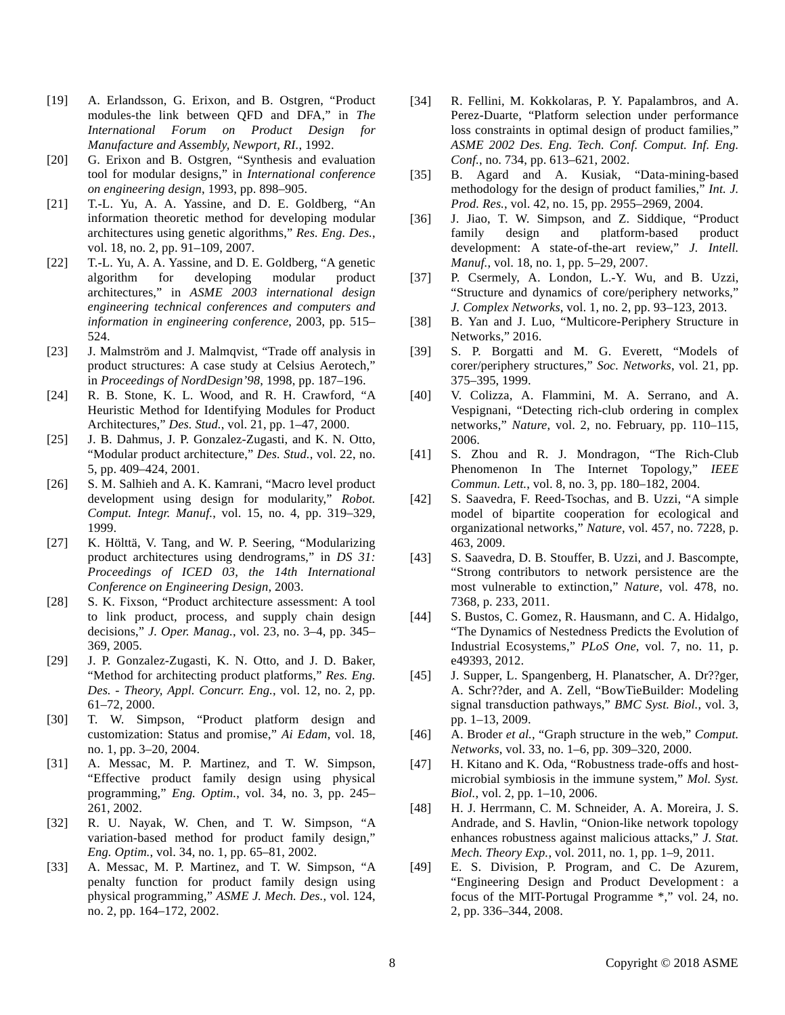- [19] A. Erlandsson, G. Erixon, and B. Ostgren, "Product modules-the link between QFD and DFA," in *The International Forum on Product Design for Manufacture and Assembly, Newport, RI.*, 1992.
- [20] G. Erixon and B. Ostgren, "Synthesis and evaluation tool for modular designs," in *International conference on engineering design*, 1993, pp. 898–905.
- [21] T.-L. Yu, A. A. Yassine, and D. E. Goldberg, "An information theoretic method for developing modular architectures using genetic algorithms," *Res. Eng. Des.*, vol. 18, no. 2, pp. 91–109, 2007.
- [22] T.-L. Yu, A. A. Yassine, and D. E. Goldberg, "A genetic algorithm for developing modular product architectures," in *ASME 2003 international design engineering technical conferences and computers and information in engineering conference*, 2003, pp. 515– 524.
- [23] J. Malmström and J. Malmqvist, "Trade off analysis in product structures: A case study at Celsius Aerotech," in *Proceedings of NordDesign'98*, 1998, pp. 187–196.
- [24] R. B. Stone, K. L. Wood, and R. H. Crawford, "A Heuristic Method for Identifying Modules for Product Architectures," *Des. Stud.*, vol. 21, pp. 1–47, 2000.
- [25] J. B. Dahmus, J. P. Gonzalez-Zugasti, and K. N. Otto, "Modular product architecture," *Des. Stud.*, vol. 22, no. 5, pp. 409–424, 2001.
- [26] S. M. Salhieh and A. K. Kamrani, "Macro level product development using design for modularity," *Robot. Comput. Integr. Manuf.*, vol. 15, no. 4, pp. 319–329, 1999.
- [27] K. Hölttä, V. Tang, and W. P. Seering, "Modularizing product architectures using dendrograms," in *DS 31: Proceedings of ICED 03, the 14th International Conference on Engineering Design*, 2003.
- [28] S. K. Fixson, "Product architecture assessment: A tool to link product, process, and supply chain design decisions," *J. Oper. Manag.*, vol. 23, no. 3–4, pp. 345– 369, 2005.
- [29] J. P. Gonzalez-Zugasti, K. N. Otto, and J. D. Baker, "Method for architecting product platforms," *Res. Eng. Des. - Theory, Appl. Concurr. Eng.*, vol. 12, no. 2, pp. 61–72, 2000.
- [30] T. W. Simpson, "Product platform design and customization: Status and promise," *Ai Edam*, vol. 18, no. 1, pp. 3–20, 2004.
- [31] A. Messac, M. P. Martinez, and T. W. Simpson, "Effective product family design using physical programming," *Eng. Optim.*, vol. 34, no. 3, pp. 245– 261, 2002.
- [32] R. U. Nayak, W. Chen, and T. W. Simpson, "A variation-based method for product family design," *Eng. Optim.*, vol. 34, no. 1, pp. 65–81, 2002.
- [33] A. Messac, M. P. Martinez, and T. W. Simpson, "A penalty function for product family design using physical programming," *ASME J. Mech. Des.*, vol. 124, no. 2, pp. 164–172, 2002.
- [34] R. Fellini, M. Kokkolaras, P. Y. Papalambros, and A. Perez-Duarte, "Platform selection under performance loss constraints in optimal design of product families," *ASME 2002 Des. Eng. Tech. Conf. Comput. Inf. Eng. Conf.*, no. 734, pp. 613–621, 2002.
- [35] B. Agard and A. Kusiak, "Data-mining-based methodology for the design of product families," *Int. J. Prod. Res.*, vol. 42, no. 15, pp. 2955–2969, 2004.
- [36] J. Jiao, T. W. Simpson, and Z. Siddique, "Product family design and platform-based product development: A state-of-the-art review," *J. Intell. Manuf.*, vol. 18, no. 1, pp. 5–29, 2007.
- [37] P. Csermely, A. London, L.-Y. Wu, and B. Uzzi, "Structure and dynamics of core/periphery networks," *J. Complex Networks*, vol. 1, no. 2, pp. 93–123, 2013.
- [38] B. Yan and J. Luo, "Multicore-Periphery Structure in Networks," 2016.
- [39] S. P. Borgatti and M. G. Everett, "Models of corer/periphery structures," *Soc. Networks*, vol. 21, pp. 375–395, 1999.
- [40] V. Colizza, A. Flammini, M. A. Serrano, and A. Vespignani, "Detecting rich-club ordering in complex networks," *Nature*, vol. 2, no. February, pp. 110–115, 2006.
- [41] S. Zhou and R. J. Mondragon, "The Rich-Club Phenomenon In The Internet Topology," *IEEE Commun. Lett.*, vol. 8, no. 3, pp. 180–182, 2004.
- [42] S. Saavedra, F. Reed-Tsochas, and B. Uzzi, "A simple model of bipartite cooperation for ecological and organizational networks," *Nature*, vol. 457, no. 7228, p. 463, 2009.
- [43] S. Saavedra, D. B. Stouffer, B. Uzzi, and J. Bascompte, "Strong contributors to network persistence are the most vulnerable to extinction," *Nature*, vol. 478, no. 7368, p. 233, 2011.
- [44] S. Bustos, C. Gomez, R. Hausmann, and C. A. Hidalgo, "The Dynamics of Nestedness Predicts the Evolution of Industrial Ecosystems," *PLoS One*, vol. 7, no. 11, p. e49393, 2012.
- [45] J. Supper, L. Spangenberg, H. Planatscher, A. Dr??ger, A. Schr??der, and A. Zell, "BowTieBuilder: Modeling signal transduction pathways," *BMC Syst. Biol.*, vol. 3, pp. 1–13, 2009.
- [46] A. Broder *et al.*, "Graph structure in the web," *Comput. Networks*, vol. 33, no. 1–6, pp. 309–320, 2000.
- [47] H. Kitano and K. Oda, "Robustness trade-offs and hostmicrobial symbiosis in the immune system," *Mol. Syst. Biol.*, vol. 2, pp. 1–10, 2006.
- [48] H. J. Herrmann, C. M. Schneider, A. A. Moreira, J. S. Andrade, and S. Havlin, "Onion-like network topology enhances robustness against malicious attacks," *J. Stat. Mech. Theory Exp.*, vol. 2011, no. 1, pp. 1–9, 2011.
- [49] E. S. Division, P. Program, and C. De Azurem, "Engineering Design and Product Development: a focus of the MIT-Portugal Programme \*," vol. 24, no. 2, pp. 336–344, 2008.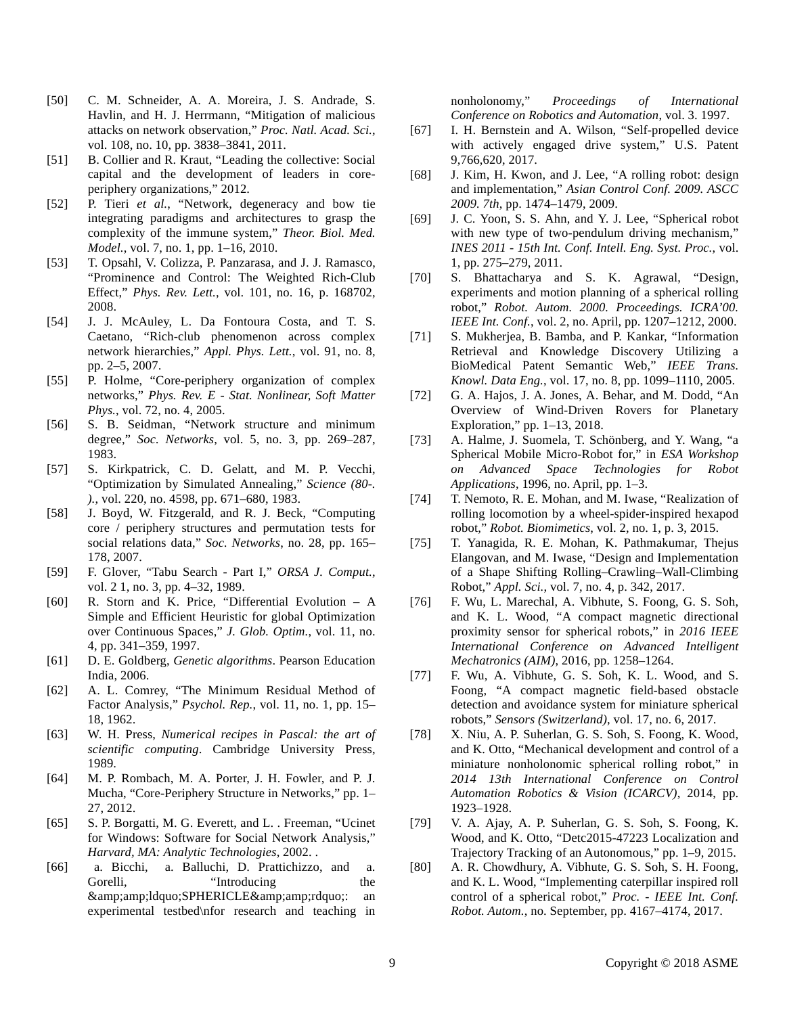- [50] C. M. Schneider, A. A. Moreira, J. S. Andrade, S. Havlin, and H. J. Herrmann, "Mitigation of malicious attacks on network observation," *Proc. Natl. Acad. Sci.*, vol. 108, no. 10, pp. 3838–3841, 2011.
- [51] B. Collier and R. Kraut, "Leading the collective: Social capital and the development of leaders in coreperiphery organizations," 2012.
- [52] P. Tieri *et al.*, "Network, degeneracy and bow tie integrating paradigms and architectures to grasp the complexity of the immune system," *Theor. Biol. Med. Model.*, vol. 7, no. 1, pp. 1–16, 2010.
- [53] T. Opsahl, V. Colizza, P. Panzarasa, and J. J. Ramasco, "Prominence and Control: The Weighted Rich-Club Effect," *Phys. Rev. Lett.*, vol. 101, no. 16, p. 168702, 2008.
- [54] J. J. McAuley, L. Da Fontoura Costa, and T. S. Caetano, "Rich-club phenomenon across complex network hierarchies," *Appl. Phys. Lett.*, vol. 91, no. 8, pp. 2–5, 2007.
- [55] P. Holme, "Core-periphery organization of complex networks," *Phys. Rev. E - Stat. Nonlinear, Soft Matter Phys.*, vol. 72, no. 4, 2005.
- [56] S. B. Seidman, "Network structure and minimum degree," *Soc. Networks*, vol. 5, no. 3, pp. 269–287, 1983.
- [57] S. Kirkpatrick, C. D. Gelatt, and M. P. Vecchi, "Optimization by Simulated Annealing," *Science (80-. ).*, vol. 220, no. 4598, pp. 671–680, 1983.
- [58] J. Boyd, W. Fitzgerald, and R. J. Beck, "Computing core / periphery structures and permutation tests for social relations data," *Soc. Networks*, no. 28, pp. 165– 178, 2007.
- [59] F. Glover, "Tabu Search Part I," *ORSA J. Comput.*, vol. 2 1, no. 3, pp. 4–32, 1989.
- [60] R. Storn and K. Price, "Differential Evolution A Simple and Efficient Heuristic for global Optimization over Continuous Spaces," *J. Glob. Optim.*, vol. 11, no. 4, pp. 341–359, 1997.
- [61] D. E. Goldberg, *Genetic algorithms*. Pearson Education India, 2006.
- [62] A. L. Comrey, "The Minimum Residual Method of Factor Analysis," *Psychol. Rep.*, vol. 11, no. 1, pp. 15– 18, 1962.
- [63] W. H. Press, *Numerical recipes in Pascal: the art of scientific computing*. Cambridge University Press, 1989.
- [64] M. P. Rombach, M. A. Porter, J. H. Fowler, and P. J. Mucha, "Core-Periphery Structure in Networks," pp. 1– 27, 2012.
- [65] S. P. Borgatti, M. G. Everett, and L. . Freeman, "Ucinet for Windows: Software for Social Network Analysis," *Harvard, MA: Analytic Technologies*, 2002. .
- [66] a. Bicchi, a. Balluchi, D. Prattichizzo, and a. Gorelli, "Introducing the  $\&$ amp;amp;ldquo;SPHERICLE $\&$ amp;amp;rdquo;: an experimental testbed\nfor research and teaching in

nonholonomy," *Proceedings of International Conference on Robotics and Automation*, vol. 3. 1997.

- [67] I. H. Bernstein and A. Wilson, "Self-propelled device with actively engaged drive system," U.S. Patent 9,766,620, 2017.
- [68] J. Kim, H. Kwon, and J. Lee, "A rolling robot: design and implementation," *Asian Control Conf. 2009. ASCC 2009. 7th*, pp. 1474–1479, 2009.
- [69] J. C. Yoon, S. S. Ahn, and Y. J. Lee, "Spherical robot with new type of two-pendulum driving mechanism," *INES 2011 - 15th Int. Conf. Intell. Eng. Syst. Proc.*, vol. 1, pp. 275–279, 2011.
- [70] S. Bhattacharya and S. K. Agrawal, "Design, experiments and motion planning of a spherical rolling robot," *Robot. Autom. 2000. Proceedings. ICRA'00. IEEE Int. Conf.*, vol. 2, no. April, pp. 1207–1212, 2000.
- [71] S. Mukherjea, B. Bamba, and P. Kankar, "Information Retrieval and Knowledge Discovery Utilizing a BioMedical Patent Semantic Web," *IEEE Trans. Knowl. Data Eng.*, vol. 17, no. 8, pp. 1099–1110, 2005.
- [72] G. A. Hajos, J. A. Jones, A. Behar, and M. Dodd, "An Overview of Wind-Driven Rovers for Planetary Exploration," pp. 1–13, 2018.
- [73] A. Halme, J. Suomela, T. Schönberg, and Y. Wang, "a Spherical Mobile Micro-Robot for," in *ESA Workshop on Advanced Space Technologies for Robot Applications*, 1996, no. April, pp. 1–3.
- [74] T. Nemoto, R. E. Mohan, and M. Iwase, "Realization of rolling locomotion by a wheel-spider-inspired hexapod robot," *Robot. Biomimetics*, vol. 2, no. 1, p. 3, 2015.
- [75] T. Yanagida, R. E. Mohan, K. Pathmakumar, Thejus Elangovan, and M. Iwase, "Design and Implementation of a Shape Shifting Rolling–Crawling–Wall-Climbing Robot," *Appl. Sci.*, vol. 7, no. 4, p. 342, 2017.
- [76] F. Wu, L. Marechal, A. Vibhute, S. Foong, G. S. Soh, and K. L. Wood, "A compact magnetic directional proximity sensor for spherical robots," in *2016 IEEE International Conference on Advanced Intelligent Mechatronics (AIM)*, 2016, pp. 1258–1264.
- [77] F. Wu, A. Vibhute, G. S. Soh, K. L. Wood, and S. Foong, "A compact magnetic field-based obstacle detection and avoidance system for miniature spherical robots," *Sensors (Switzerland)*, vol. 17, no. 6, 2017.
- [78] X. Niu, A. P. Suherlan, G. S. Soh, S. Foong, K. Wood, and K. Otto, "Mechanical development and control of a miniature nonholonomic spherical rolling robot," in *2014 13th International Conference on Control Automation Robotics & Vision (ICARCV)*, 2014, pp. 1923–1928.
- [79] V. A. Ajay, A. P. Suherlan, G. S. Soh, S. Foong, K. Wood, and K. Otto, "Detc2015-47223 Localization and Trajectory Tracking of an Autonomous," pp. 1–9, 2015.
- [80] A. R. Chowdhury, A. Vibhute, G. S. Soh, S. H. Foong, and K. L. Wood, "Implementing caterpillar inspired roll control of a spherical robot," *Proc. - IEEE Int. Conf. Robot. Autom.*, no. September, pp. 4167–4174, 2017.